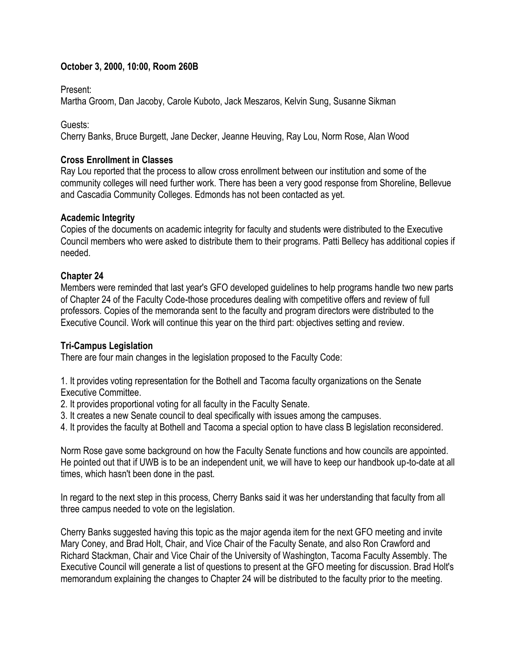# **October 3, 2000, 10:00, Room 260B**

Present:

Martha Groom, Dan Jacoby, Carole Kuboto, Jack Meszaros, Kelvin Sung, Susanne Sikman

Guests:

Cherry Banks, Bruce Burgett, Jane Decker, Jeanne Heuving, Ray Lou, Norm Rose, Alan Wood

## **Cross Enrollment in Classes**

Ray Lou reported that the process to allow cross enrollment between our institution and some of the community colleges will need further work. There has been a very good response from Shoreline, Bellevue and Cascadia Community Colleges. Edmonds has not been contacted as yet.

## **Academic Integrity**

Copies of the documents on academic integrity for faculty and students were distributed to the Executive Council members who were asked to distribute them to their programs. Patti Bellecy has additional copies if needed.

### **Chapter 24**

Members were reminded that last year's GFO developed guidelines to help programs handle two new parts of Chapter 24 of the Faculty Code-those procedures dealing with competitive offers and review of full professors. Copies of the memoranda sent to the faculty and program directors were distributed to the Executive Council. Work will continue this year on the third part: objectives setting and review.

### **Tri-Campus Legislation**

There are four main changes in the legislation proposed to the Faculty Code:

1. It provides voting representation for the Bothell and Tacoma faculty organizations on the Senate Executive Committee.

- 2. It provides proportional voting for all faculty in the Faculty Senate.
- 3. It creates a new Senate council to deal specifically with issues among the campuses.
- 4. It provides the faculty at Bothell and Tacoma a special option to have class B legislation reconsidered.

Norm Rose gave some background on how the Faculty Senate functions and how councils are appointed. He pointed out that if UWB is to be an independent unit, we will have to keep our handbook up-to-date at all times, which hasn't been done in the past.

In regard to the next step in this process, Cherry Banks said it was her understanding that faculty from all three campus needed to vote on the legislation.

Cherry Banks suggested having this topic as the major agenda item for the next GFO meeting and invite Mary Coney, and Brad Holt, Chair, and Vice Chair of the Faculty Senate, and also Ron Crawford and Richard Stackman, Chair and Vice Chair of the University of Washington, Tacoma Faculty Assembly. The Executive Council will generate a list of questions to present at the GFO meeting for discussion. Brad Holt's memorandum explaining the changes to Chapter 24 will be distributed to the faculty prior to the meeting.